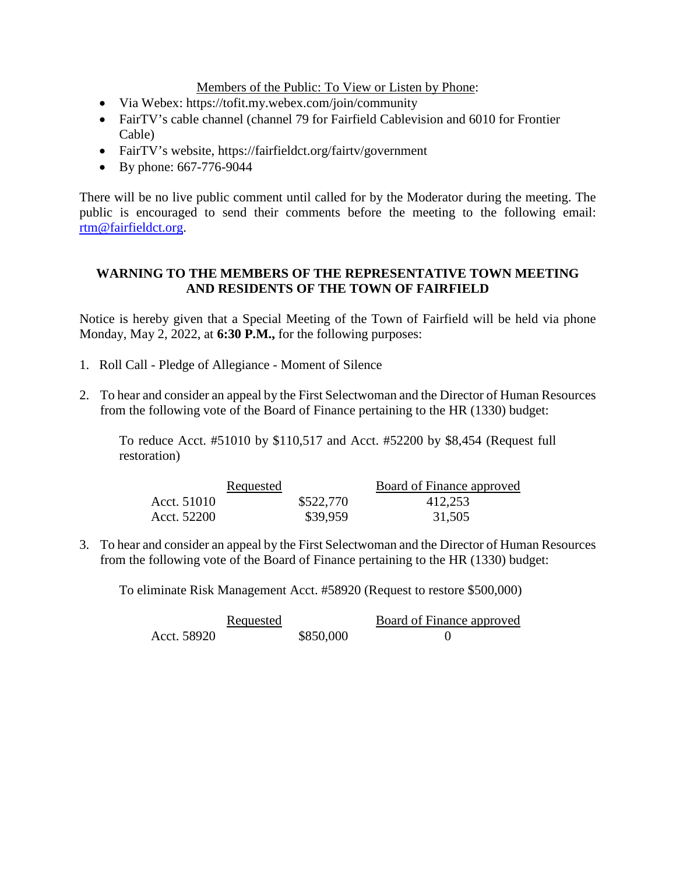Members of the Public: To View or Listen by Phone:

- Via Webex: https://tofit.my.webex.com/join/community
- FairTV's cable channel (channel 79 for Fairfield Cablevision and 6010 for Frontier Cable)
- FairTV's website, https://fairfieldct.org/fairtv/government
- By phone: 667-776-9044

There will be no live public comment until called for by the Moderator during the meeting. The public is encouraged to send their comments before the meeting to the following email: [rtm@fairfieldct.org.](mailto:rtm@fairfieldct.org)

## **WARNING TO THE MEMBERS OF THE REPRESENTATIVE TOWN MEETING AND RESIDENTS OF THE TOWN OF FAIRFIELD**

Notice is hereby given that a Special Meeting of the Town of Fairfield will be held via phone Monday, May 2, 2022, at **6:30 P.M.,** for the following purposes:

- 1. Roll Call Pledge of Allegiance Moment of Silence
- 2. To hear and consider an appeal by the First Selectwoman and the Director of Human Resources from the following vote of the Board of Finance pertaining to the HR (1330) budget:

To reduce Acct. #51010 by \$110,517 and Acct. #52200 by \$8,454 (Request full restoration)

|             | Requested |           | Board of Finance approved |
|-------------|-----------|-----------|---------------------------|
| Acct. 51010 |           | \$522,770 | 412,253                   |
| Acct. 52200 |           | \$39,959  | 31,505                    |

3. To hear and consider an appeal by the First Selectwoman and the Director of Human Resources from the following vote of the Board of Finance pertaining to the HR (1330) budget:

To eliminate Risk Management Acct. #58920 (Request to restore \$500,000)

|             | Requested |           | Board of Finance approved |
|-------------|-----------|-----------|---------------------------|
| Acct. 58920 |           | \$850,000 |                           |